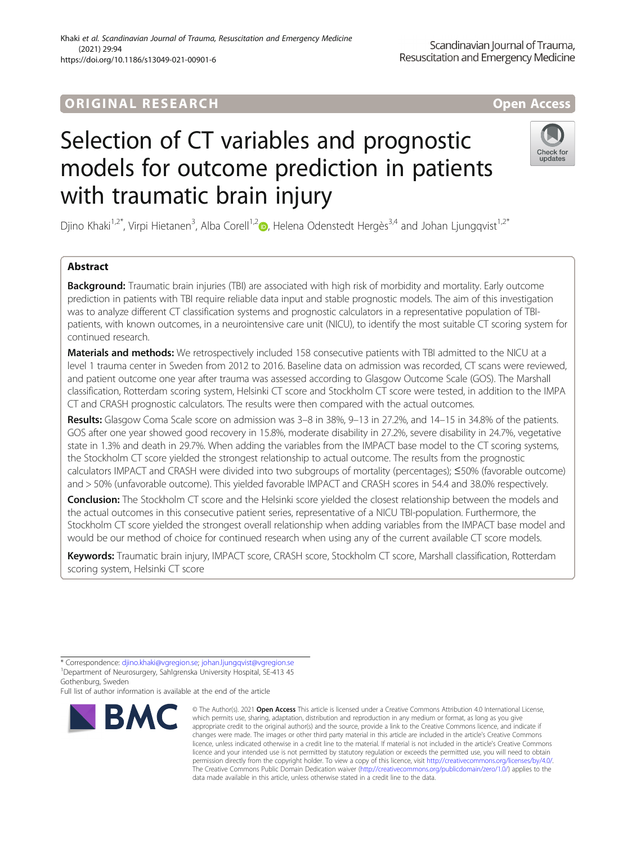# Selection of CT variables and prognostic models for outcome prediction in patients with traumatic brain injury

Check for undates

Djino Khaki<sup>1,[2](http://orcid.org/0000-0002-6329-2392)\*</sup>, Virpi Hietanen<sup>3</sup>, Alba Corell<sup>1,2</sup>iD, Helena Odenstedt Hergès<sup>3,4</sup> and Johan Ljungqvist<sup>1,2\*</sup>

# Abstract

Background: Traumatic brain injuries (TBI) are associated with high risk of morbidity and mortality. Early outcome prediction in patients with TBI require reliable data input and stable prognostic models. The aim of this investigation was to analyze different CT classification systems and prognostic calculators in a representative population of TBIpatients, with known outcomes, in a neurointensive care unit (NICU), to identify the most suitable CT scoring system for continued research.

Materials and methods: We retrospectively included 158 consecutive patients with TBI admitted to the NICU at a level 1 trauma center in Sweden from 2012 to 2016. Baseline data on admission was recorded, CT scans were reviewed, and patient outcome one year after trauma was assessed according to Glasgow Outcome Scale (GOS). The Marshall classification, Rotterdam scoring system, Helsinki CT score and Stockholm CT score were tested, in addition to the IMPA CT and CRASH prognostic calculators. The results were then compared with the actual outcomes.

Results: Glasgow Coma Scale score on admission was 3–8 in 38%, 9–13 in 27.2%, and 14–15 in 34.8% of the patients. GOS after one year showed good recovery in 15.8%, moderate disability in 27.2%, severe disability in 24.7%, vegetative state in 1.3% and death in 29.7%. When adding the variables from the IMPACT base model to the CT scoring systems, the Stockholm CT score yielded the strongest relationship to actual outcome. The results from the prognostic calculators IMPACT and CRASH were divided into two subgroups of mortality (percentages); ≤50% (favorable outcome) and > 50% (unfavorable outcome). This yielded favorable IMPACT and CRASH scores in 54.4 and 38.0% respectively.

Conclusion: The Stockholm CT score and the Helsinki score yielded the closest relationship between the models and the actual outcomes in this consecutive patient series, representative of a NICU TBI-population. Furthermore, the Stockholm CT score yielded the strongest overall relationship when adding variables from the IMPACT base model and would be our method of choice for continued research when using any of the current available CT score models.

Keywords: Traumatic brain injury, IMPACT score, CRASH score, Stockholm CT score, Marshall classification, Rotterdam scoring system, Helsinki CT score

Full list of author information is available at the end of the article



<sup>©</sup> The Author(s). 2021 **Open Access** This article is licensed under a Creative Commons Attribution 4.0 International License, which permits use, sharing, adaptation, distribution and reproduction in any medium or format, as long as you give appropriate credit to the original author(s) and the source, provide a link to the Creative Commons licence, and indicate if changes were made. The images or other third party material in this article are included in the article's Creative Commons licence, unless indicated otherwise in a credit line to the material. If material is not included in the article's Creative Commons licence and your intended use is not permitted by statutory regulation or exceeds the permitted use, you will need to obtain permission directly from the copyright holder. To view a copy of this licence, visit <http://creativecommons.org/licenses/by/4.0/>. The Creative Commons Public Domain Dedication waiver [\(http://creativecommons.org/publicdomain/zero/1.0/\)](http://creativecommons.org/publicdomain/zero/1.0/) applies to the data made available in this article, unless otherwise stated in a credit line to the data.

<sup>\*</sup> Correspondence: [djino.khaki@vgregion.se](mailto:djino.khaki@vgregion.se); [johan.ljungqvist@vgregion.se](mailto:johan.ljungqvist@vgregion.se) <sup>1</sup> <sup>1</sup> Department of Neurosurgery, Sahlgrenska University Hospital, SE-413 45

Gothenburg, Sweden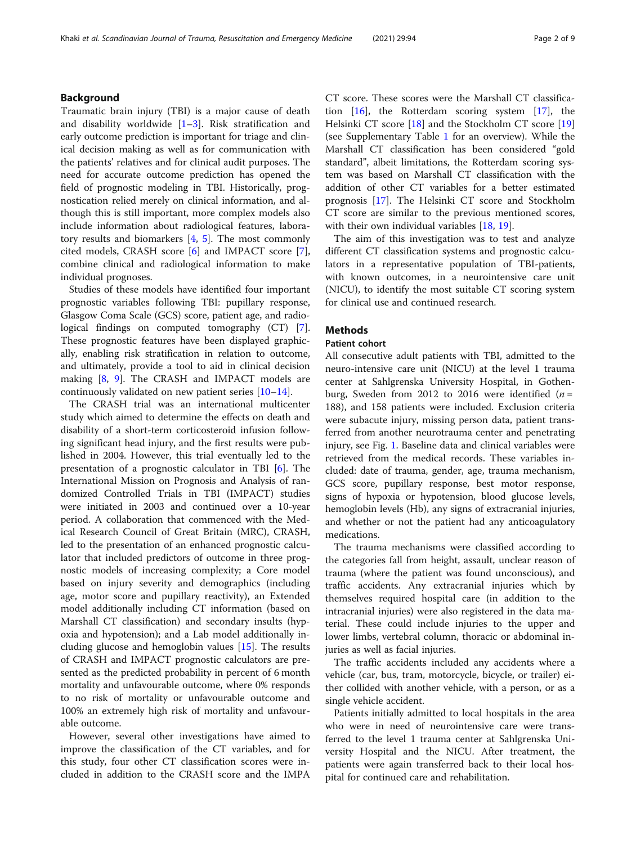# Background

Traumatic brain injury (TBI) is a major cause of death and disability worldwide  $[1-3]$  $[1-3]$  $[1-3]$  $[1-3]$  $[1-3]$ . Risk stratification and early outcome prediction is important for triage and clinical decision making as well as for communication with the patients' relatives and for clinical audit purposes. The need for accurate outcome prediction has opened the field of prognostic modeling in TBI. Historically, prognostication relied merely on clinical information, and although this is still important, more complex models also include information about radiological features, laboratory results and biomarkers [[4](#page-7-0), [5](#page-7-0)]. The most commonly cited models, CRASH score [[6](#page-7-0)] and IMPACT score [\[7](#page-7-0)], combine clinical and radiological information to make individual prognoses.

Studies of these models have identified four important prognostic variables following TBI: pupillary response, Glasgow Coma Scale (GCS) score, patient age, and radiological findings on computed tomography (CT) [\[7](#page-7-0)]. These prognostic features have been displayed graphically, enabling risk stratification in relation to outcome, and ultimately, provide a tool to aid in clinical decision making [[8,](#page-7-0) [9](#page-7-0)]. The CRASH and IMPACT models are continuously validated on new patient series  $[10-14]$  $[10-14]$  $[10-14]$  $[10-14]$  $[10-14]$ .

The CRASH trial was an international multicenter study which aimed to determine the effects on death and disability of a short-term corticosteroid infusion following significant head injury, and the first results were published in 2004. However, this trial eventually led to the presentation of a prognostic calculator in TBI [[6\]](#page-7-0). The International Mission on Prognosis and Analysis of randomized Controlled Trials in TBI (IMPACT) studies were initiated in 2003 and continued over a 10-year period. A collaboration that commenced with the Medical Research Council of Great Britain (MRC), CRASH, led to the presentation of an enhanced prognostic calculator that included predictors of outcome in three prognostic models of increasing complexity; a Core model based on injury severity and demographics (including age, motor score and pupillary reactivity), an Extended model additionally including CT information (based on Marshall CT classification) and secondary insults (hypoxia and hypotension); and a Lab model additionally including glucose and hemoglobin values [[15](#page-7-0)]. The results of CRASH and IMPACT prognostic calculators are presented as the predicted probability in percent of 6 month mortality and unfavourable outcome, where 0% responds to no risk of mortality or unfavourable outcome and 100% an extremely high risk of mortality and unfavourable outcome.

However, several other investigations have aimed to improve the classification of the CT variables, and for this study, four other CT classification scores were included in addition to the CRASH score and the IMPA

CT score. These scores were the Marshall CT classification [[16\]](#page-7-0), the Rotterdam scoring system [[17\]](#page-7-0), the Helsinki CT score [\[18\]](#page-7-0) and the Stockholm CT score [[19](#page-7-0)] (see Supplementary Table [1](#page-6-0) for an overview). While the Marshall CT classification has been considered "gold standard", albeit limitations, the Rotterdam scoring system was based on Marshall CT classification with the addition of other CT variables for a better estimated prognosis [[17\]](#page-7-0). The Helsinki CT score and Stockholm CT score are similar to the previous mentioned scores, with their own individual variables [[18,](#page-7-0) [19](#page-7-0)].

The aim of this investigation was to test and analyze different CT classification systems and prognostic calculators in a representative population of TBI-patients, with known outcomes, in a neurointensive care unit (NICU), to identify the most suitable CT scoring system for clinical use and continued research.

# **Methods**

# Patient cohort

All consecutive adult patients with TBI, admitted to the neuro-intensive care unit (NICU) at the level 1 trauma center at Sahlgrenska University Hospital, in Gothenburg, Sweden from 2012 to 2016 were identified  $(n =$ 188), and 158 patients were included. Exclusion criteria were subacute injury, missing person data, patient transferred from another neurotrauma center and penetrating injury, see Fig. [1.](#page-2-0) Baseline data and clinical variables were retrieved from the medical records. These variables included: date of trauma, gender, age, trauma mechanism, GCS score, pupillary response, best motor response, signs of hypoxia or hypotension, blood glucose levels, hemoglobin levels (Hb), any signs of extracranial injuries, and whether or not the patient had any anticoagulatory medications.

The trauma mechanisms were classified according to the categories fall from height, assault, unclear reason of trauma (where the patient was found unconscious), and traffic accidents. Any extracranial injuries which by themselves required hospital care (in addition to the intracranial injuries) were also registered in the data material. These could include injuries to the upper and lower limbs, vertebral column, thoracic or abdominal injuries as well as facial injuries.

The traffic accidents included any accidents where a vehicle (car, bus, tram, motorcycle, bicycle, or trailer) either collided with another vehicle, with a person, or as a single vehicle accident.

Patients initially admitted to local hospitals in the area who were in need of neurointensive care were transferred to the level 1 trauma center at Sahlgrenska University Hospital and the NICU. After treatment, the patients were again transferred back to their local hospital for continued care and rehabilitation.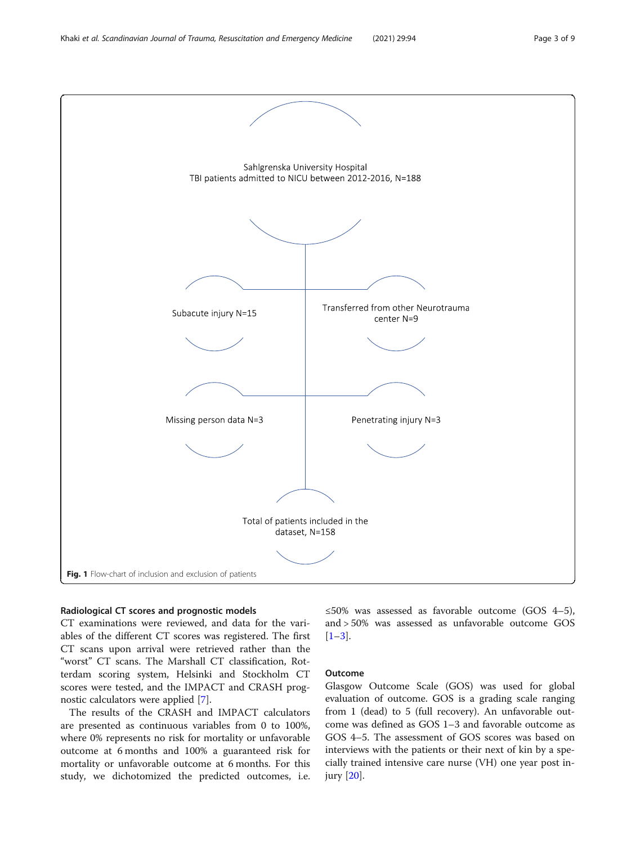<span id="page-2-0"></span>

# Radiological CT scores and prognostic models

CT examinations were reviewed, and data for the variables of the different CT scores was registered. The first CT scans upon arrival were retrieved rather than the "worst" CT scans. The Marshall CT classification, Rotterdam scoring system, Helsinki and Stockholm CT scores were tested, and the IMPACT and CRASH prognostic calculators were applied [[7\]](#page-7-0).

The results of the CRASH and IMPACT calculators are presented as continuous variables from 0 to 100%, where 0% represents no risk for mortality or unfavorable outcome at 6 months and 100% a guaranteed risk for mortality or unfavorable outcome at 6 months. For this study, we dichotomized the predicted outcomes, i.e. ≤50% was assessed as favorable outcome (GOS 4–5), and > 50% was assessed as unfavorable outcome GOS  $[1-3]$  $[1-3]$  $[1-3]$  $[1-3]$ .

# Outcome

Glasgow Outcome Scale (GOS) was used for global evaluation of outcome. GOS is a grading scale ranging from 1 (dead) to 5 (full recovery). An unfavorable outcome was defined as GOS 1–3 and favorable outcome as GOS 4–5. The assessment of GOS scores was based on interviews with the patients or their next of kin by a specially trained intensive care nurse (VH) one year post injury [[20](#page-7-0)].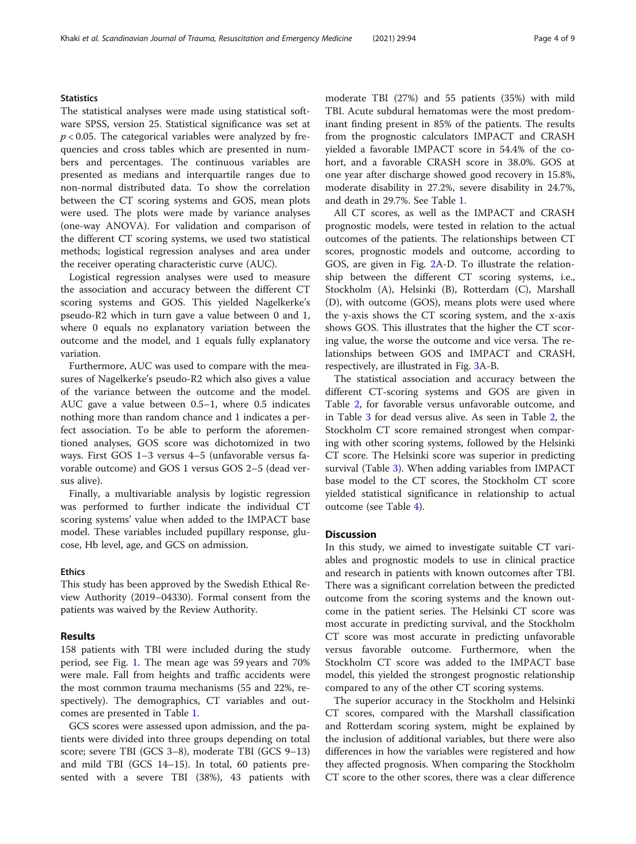# **Statistics**

The statistical analyses were made using statistical software SPSS, version 25. Statistical significance was set at  $p < 0.05$ . The categorical variables were analyzed by frequencies and cross tables which are presented in numbers and percentages. The continuous variables are presented as medians and interquartile ranges due to non-normal distributed data. To show the correlation between the CT scoring systems and GOS, mean plots were used. The plots were made by variance analyses (one-way ANOVA). For validation and comparison of the different CT scoring systems, we used two statistical methods; logistical regression analyses and area under the receiver operating characteristic curve (AUC).

Logistical regression analyses were used to measure the association and accuracy between the different CT scoring systems and GOS. This yielded Nagelkerke's pseudo-R2 which in turn gave a value between 0 and 1, where 0 equals no explanatory variation between the outcome and the model, and 1 equals fully explanatory variation.

Furthermore, AUC was used to compare with the measures of Nagelkerke's pseudo-R2 which also gives a value of the variance between the outcome and the model. AUC gave a value between 0.5–1, where 0.5 indicates nothing more than random chance and 1 indicates a perfect association. To be able to perform the aforementioned analyses, GOS score was dichotomized in two ways. First GOS 1–3 versus 4–5 (unfavorable versus favorable outcome) and GOS 1 versus GOS 2–5 (dead versus alive).

Finally, a multivariable analysis by logistic regression was performed to further indicate the individual CT scoring systems' value when added to the IMPACT base model. These variables included pupillary response, glucose, Hb level, age, and GCS on admission.

# Ethics

This study has been approved by the Swedish Ethical Review Authority (2019–04330). Formal consent from the patients was waived by the Review Authority.

## Results

158 patients with TBI were included during the study period, see Fig. [1](#page-2-0). The mean age was 59 years and 70% were male. Fall from heights and traffic accidents were the most common trauma mechanisms (55 and 22%, respectively). The demographics, CT variables and outcomes are presented in Table [1.](#page-4-0)

GCS scores were assessed upon admission, and the patients were divided into three groups depending on total score; severe TBI (GCS 3–8), moderate TBI (GCS 9–13) and mild TBI (GCS 14–15). In total, 60 patients presented with a severe TBI (38%), 43 patients with moderate TBI (27%) and 55 patients (35%) with mild TBI. Acute subdural hematomas were the most predominant finding present in 85% of the patients. The results from the prognostic calculators IMPACT and CRASH yielded a favorable IMPACT score in 54.4% of the cohort, and a favorable CRASH score in 38.0%. GOS at one year after discharge showed good recovery in 15.8%, moderate disability in 27.2%, severe disability in 24.7%, and death in 29.7%. See Table [1.](#page-4-0)

All CT scores, as well as the IMPACT and CRASH prognostic models, were tested in relation to the actual outcomes of the patients. The relationships between CT scores, prognostic models and outcome, according to GOS, are given in Fig. [2](#page-5-0)A-D. To illustrate the relationship between the different CT scoring systems, i.e., Stockholm (A), Helsinki (B), Rotterdam (C), Marshall (D), with outcome (GOS), means plots were used where the y-axis shows the CT scoring system, and the x-axis shows GOS. This illustrates that the higher the CT scoring value, the worse the outcome and vice versa. The relationships between GOS and IMPACT and CRASH, respectively, are illustrated in Fig. [3A](#page-5-0)-B.

The statistical association and accuracy between the different CT-scoring systems and GOS are given in Table [2,](#page-6-0) for favorable versus unfavorable outcome, and in Table [3](#page-6-0) for dead versus alive. As seen in Table [2](#page-6-0), the Stockholm CT score remained strongest when comparing with other scoring systems, followed by the Helsinki CT score. The Helsinki score was superior in predicting survival (Table [3\)](#page-6-0). When adding variables from IMPACT base model to the CT scores, the Stockholm CT score yielded statistical significance in relationship to actual outcome (see Table [4](#page-6-0)).

# **Discussion**

In this study, we aimed to investigate suitable CT variables and prognostic models to use in clinical practice and research in patients with known outcomes after TBI. There was a significant correlation between the predicted outcome from the scoring systems and the known outcome in the patient series. The Helsinki CT score was most accurate in predicting survival, and the Stockholm CT score was most accurate in predicting unfavorable versus favorable outcome. Furthermore, when the Stockholm CT score was added to the IMPACT base model, this yielded the strongest prognostic relationship compared to any of the other CT scoring systems.

The superior accuracy in the Stockholm and Helsinki CT scores, compared with the Marshall classification and Rotterdam scoring system, might be explained by the inclusion of additional variables, but there were also differences in how the variables were registered and how they affected prognosis. When comparing the Stockholm CT score to the other scores, there was a clear difference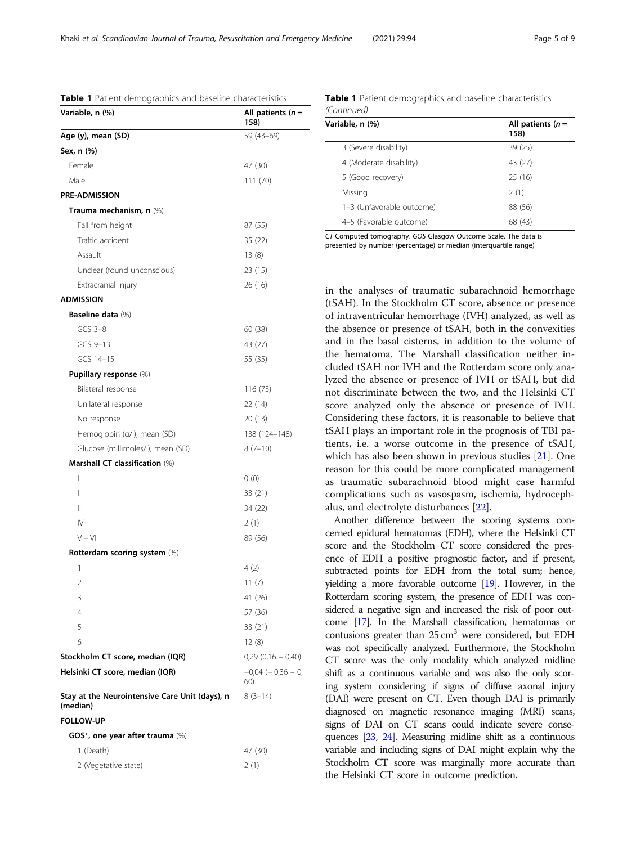CT Computed tomography. GOS Glasgow Outcome Scale. The data is presented by number (percentage) or median (interquartile range)

in the analyses of traumatic subarachnoid hemorrhage (tSAH). In the Stockholm CT score, absence or presence of intraventricular hemorrhage (IVH) analyzed, as well as the absence or presence of tSAH, both in the convexities and in the basal cisterns, in addition to the volume of the hematoma. The Marshall classification neither included tSAH nor IVH and the Rotterdam score only analyzed the absence or presence of IVH or tSAH, but did not discriminate between the two, and the Helsinki CT score analyzed only the absence or presence of IVH. Considering these factors, it is reasonable to believe that tSAH plays an important role in the prognosis of TBI patients, i.e. a worse outcome in the presence of tSAH, which has also been shown in previous studies [[21\]](#page-7-0). One reason for this could be more complicated management as traumatic subarachnoid blood might case harmful complications such as vasospasm, ischemia, hydrocephalus, and electrolyte disturbances [[22](#page-7-0)].

Another difference between the scoring systems concerned epidural hematomas (EDH), where the Helsinki CT score and the Stockholm CT score considered the presence of EDH a positive prognostic factor, and if present, subtracted points for EDH from the total sum; hence, yielding a more favorable outcome [\[19](#page-7-0)]. However, in the Rotterdam scoring system, the presence of EDH was considered a negative sign and increased the risk of poor outcome [\[17](#page-7-0)]. In the Marshall classification, hematomas or contusions greater than  $25 \text{ cm}^3$  were considered, but EDH was not specifically analyzed. Furthermore, the Stockholm CT score was the only modality which analyzed midline shift as a continuous variable and was also the only scoring system considering if signs of diffuse axonal injury (DAI) were present on CT. Even though DAI is primarily diagnosed on magnetic resonance imaging (MRI) scans, signs of DAI on CT scans could indicate severe consequences [\[23,](#page-7-0) [24](#page-7-0)]. Measuring midline shift as a continuous variable and including signs of DAI might explain why the Stockholm CT score was marginally more accurate than the Helsinki CT score in outcome prediction.

Table 1 Patient demographics and baseline characteristics (Continued)

3 (Severe disability) 39 (25) 4 (Moderate disability) 43 (27) 5 (Good recovery) 25 (16)  $Missina$  2 (1) 1–3 (Unfavorable outcome) 88 (56) 4–5 (Favorable outcome) 68 (43)

Variable, n  $(%)$  All patients  $(n =$ 

<span id="page-4-0"></span>

| Table 1 Patient demographics and baseline characteristics  |                               |  |
|------------------------------------------------------------|-------------------------------|--|
| Variable, n (%)                                            | All patients $(n=$<br>158)    |  |
| Age (y), mean (SD)                                         | 59 (43-69)                    |  |
| Sex, n (%)                                                 |                               |  |
| Female                                                     | 47 (30)                       |  |
| Male                                                       | 111 (70)                      |  |
| <b>PRE-ADMISSION</b>                                       |                               |  |
| Trauma mechanism, n (%)                                    |                               |  |
| Fall from height                                           | 87 (55)                       |  |
| Traffic accident                                           | 35 (22)                       |  |
| Assault                                                    | 13 (8)                        |  |
| Unclear (found unconscious)                                | 23 (15)                       |  |
| Extracranial injury                                        | 26 (16)                       |  |
| <b>ADMISSION</b>                                           |                               |  |
| Baseline data (%)                                          |                               |  |
| $GCS$ 3-8                                                  | 60 (38)                       |  |
| GCS 9-13                                                   | 43 (27)                       |  |
| GCS 14-15                                                  | 55 (35)                       |  |
| Pupillary response (%)                                     |                               |  |
| Bilateral response                                         | 116 (73)                      |  |
| Unilateral response                                        | 22 (14)                       |  |
| No response                                                | 20 (13)                       |  |
| Hemoglobin (g/l), mean (SD)                                | 138 (124–148)                 |  |
| Glucose (millimoles/l), mean (SD)                          | $8(7-10)$                     |  |
| Marshall CT classification (%)                             |                               |  |
| $\overline{1}$                                             | 0(0)                          |  |
| $\mathsf{II}$                                              | 33 (21)                       |  |
| Ш                                                          | 34 (22)                       |  |
| $\mathsf{I}\mathsf{V}$                                     | 2(1)                          |  |
| $V + VI$                                                   | 89 (56)                       |  |
| Rotterdam scoring system (%)                               |                               |  |
| 1                                                          | 4 (2)                         |  |
| 2                                                          | 11 (7)                        |  |
| 3                                                          | 41 (26)                       |  |
| $\overline{4}$                                             | 57 (36)                       |  |
| 5                                                          | 33 (21)                       |  |
| 6                                                          | 12 (8)                        |  |
| Stockholm CT score, median (IQR)                           | $0,29$ $(0,16 - 0,40)$        |  |
| Helsinki CT score, median (IQR)                            | $-0.04$ ( $-0.36$ – 0,<br>60) |  |
| Stay at the Neurointensive Care Unit (days), n<br>(median) | $8(3-14)$                     |  |
| <b>FOLLOW-UP</b>                                           |                               |  |
| GOS*, one year after trauma (%)                            |                               |  |
| 1 (Death)                                                  | 47 (30)                       |  |
| 2 (Vegetative state)                                       | 2(1)                          |  |

158)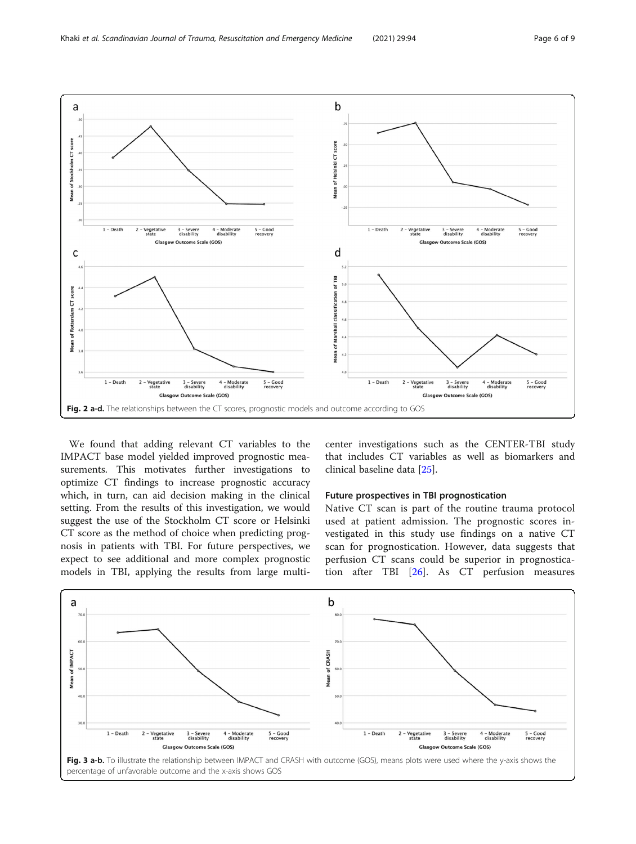<span id="page-5-0"></span>

We found that adding relevant CT variables to the IMPACT base model yielded improved prognostic measurements. This motivates further investigations to optimize CT findings to increase prognostic accuracy which, in turn, can aid decision making in the clinical setting. From the results of this investigation, we would suggest the use of the Stockholm CT score or Helsinki CT score as the method of choice when predicting prognosis in patients with TBI. For future perspectives, we expect to see additional and more complex prognostic models in TBI, applying the results from large multicenter investigations such as the CENTER-TBI study that includes CT variables as well as biomarkers and clinical baseline data [[25\]](#page-8-0).

# Future prospectives in TBI prognostication

Native CT scan is part of the routine trauma protocol used at patient admission. The prognostic scores investigated in this study use findings on a native CT scan for prognostication. However, data suggests that perfusion CT scans could be superior in prognostication after TBI [[26\]](#page-8-0). As CT perfusion measures

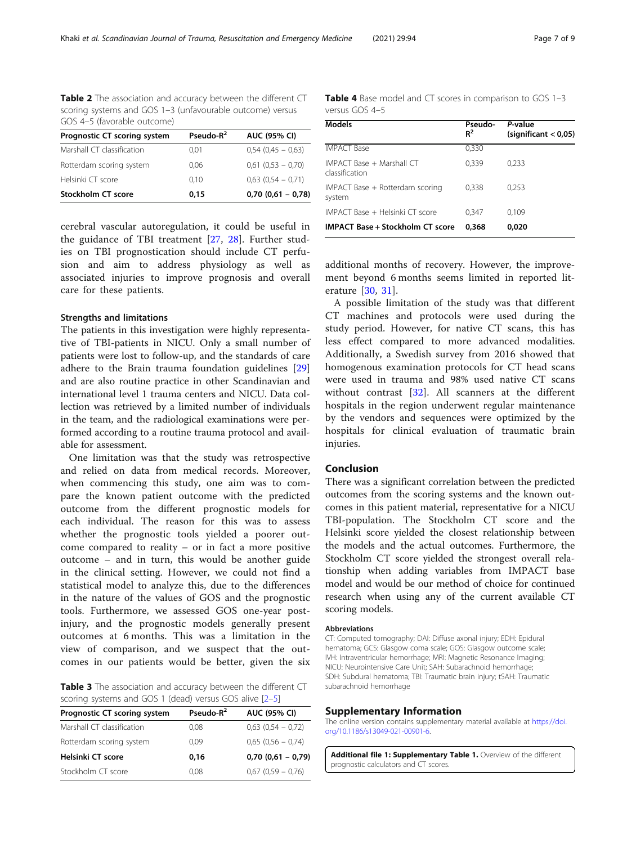<span id="page-6-0"></span>Table 2 The association and accuracy between the different CT scoring systems and GOS 1–3 (unfavourable outcome) versus GOS 4–5 (favorable outcome)

| Prognostic CT scoring system | Pseudo- $R^2$ | <b>AUC (95% CI)</b>    |
|------------------------------|---------------|------------------------|
| Marshall CT classification   | 0.01          | $0.54$ (0.45 - 0.63)   |
| Rotterdam scoring system     | 0.06          | $0,61$ $(0,53 - 0,70)$ |
| Helsinki CT score            | 0.10          | $0.63$ $(0.54 - 0.71)$ |
| <b>Stockholm CT score</b>    | 0.15          | $0,70(0,61 - 0,78)$    |

cerebral vascular autoregulation, it could be useful in the guidance of TBI treatment [[27,](#page-8-0) [28\]](#page-8-0). Further studies on TBI prognostication should include CT perfusion and aim to address physiology as well as associated injuries to improve prognosis and overall care for these patients.

## Strengths and limitations

The patients in this investigation were highly representative of TBI-patients in NICU. Only a small number of patients were lost to follow-up, and the standards of care adhere to the Brain trauma foundation guidelines [[29](#page-8-0)] and are also routine practice in other Scandinavian and international level 1 trauma centers and NICU. Data collection was retrieved by a limited number of individuals in the team, and the radiological examinations were performed according to a routine trauma protocol and available for assessment.

One limitation was that the study was retrospective and relied on data from medical records. Moreover, when commencing this study, one aim was to compare the known patient outcome with the predicted outcome from the different prognostic models for each individual. The reason for this was to assess whether the prognostic tools yielded a poorer outcome compared to reality – or in fact a more positive outcome – and in turn, this would be another guide in the clinical setting. However, we could not find a statistical model to analyze this, due to the differences in the nature of the values of GOS and the prognostic tools. Furthermore, we assessed GOS one-year postinjury, and the prognostic models generally present outcomes at 6 months. This was a limitation in the view of comparison, and we suspect that the outcomes in our patients would be better, given the six

Table 3 The association and accuracy between the different CT scoring systems and GOS 1 (dead) versus GOS alive [\[2](#page-7-0)–[5](#page-7-0)]

| Prognostic CT scoring system | Pseudo- $R^2$ | <b>AUC (95% CI)</b>    |
|------------------------------|---------------|------------------------|
| Marshall CT classification   | 0.08          | $0,63$ $(0,54 - 0,72)$ |
| Rotterdam scoring system     | 0.09          | $0.65(0.56 - 0.74)$    |
| Helsinki CT score            | 0.16          | $0,70(0,61 - 0,79)$    |
| Stockholm CT score           | 0.08          | $0.67$ $(0.59 - 0.76)$ |

Table 4 Base model and CT scores in comparison to GOS 1-3 versus GOS 4–5

| <b>Models</b>                               | Pseudo-<br>$R^2$ | P-value<br>(significant < 0.05) |
|---------------------------------------------|------------------|---------------------------------|
| <b>IMPACT Base</b>                          | 0,330            |                                 |
| IMPACT Base + Marshall CT<br>classification | 0,339            | 0,233                           |
| IMPACT Base + Rotterdam scoring<br>system   | 0,338            | 0,253                           |
| IMPACT Base + Helsinki CT score             | 0,347            | 0,109                           |
| <b>IMPACT Base + Stockholm CT score</b>     | 0.368            | 0.020                           |

additional months of recovery. However, the improvement beyond 6 months seems limited in reported literature [\[30](#page-8-0), [31](#page-8-0)].

A possible limitation of the study was that different CT machines and protocols were used during the study period. However, for native CT scans, this has less effect compared to more advanced modalities. Additionally, a Swedish survey from 2016 showed that homogenous examination protocols for CT head scans were used in trauma and 98% used native CT scans without contrast [[32\]](#page-8-0). All scanners at the different hospitals in the region underwent regular maintenance by the vendors and sequences were optimized by the hospitals for clinical evaluation of traumatic brain injuries.

### Conclusion

There was a significant correlation between the predicted outcomes from the scoring systems and the known outcomes in this patient material, representative for a NICU TBI-population. The Stockholm CT score and the Helsinki score yielded the closest relationship between the models and the actual outcomes. Furthermore, the Stockholm CT score yielded the strongest overall relationship when adding variables from IMPACT base model and would be our method of choice for continued research when using any of the current available CT scoring models.

### Abbreviations

CT: Computed tomography; DAI: Diffuse axonal injury; EDH: Epidural hematoma; GCS: Glasgow coma scale; GOS: Glasgow outcome scale; IVH: Intraventricular hemorrhage; MRI: Magnetic Resonance Imaging; NICU: Neurointensive Care Unit; SAH: Subarachnoid hemorrhage; SDH: Subdural hematoma; TBI: Traumatic brain injury; tSAH: Traumatic subarachnoid hemorrhage

#### Supplementary Information

The online version contains supplementary material available at [https://doi.](https://doi.org/10.1186/s13049-021-00901-6) [org/10.1186/s13049-021-00901-6](https://doi.org/10.1186/s13049-021-00901-6).

Additional file 1: Supplementary Table 1. Overview of the different prognostic calculators and CT scores.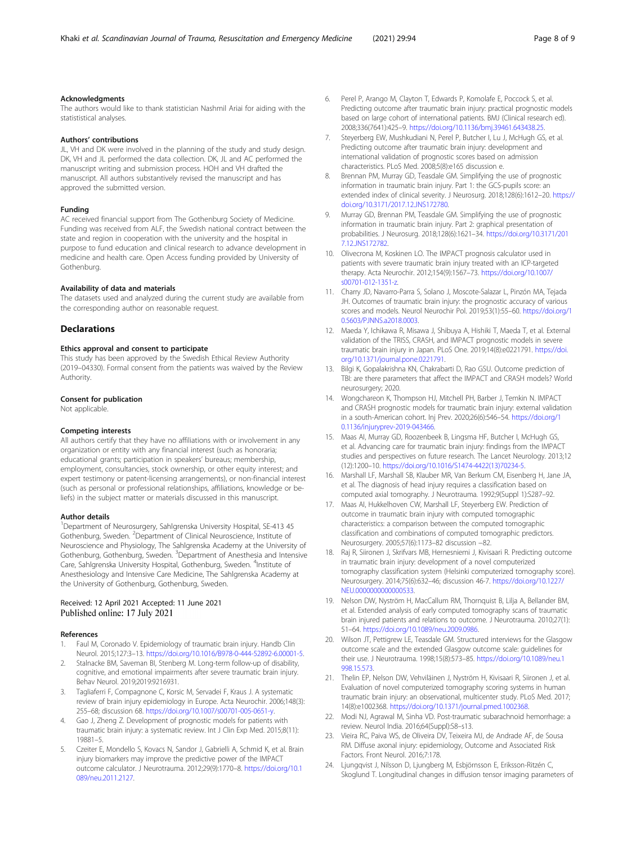#### <span id="page-7-0"></span>Acknowledgments

The authors would like to thank statistician Nashmil Ariai for aiding with the statististical analyses.

#### Authors' contributions

JL, VH and DK were involved in the planning of the study and study design. DK, VH and JL performed the data collection. DK, JL and AC performed the manuscript writing and submission process. HOH and VH drafted the manuscript. All authors substantively revised the manuscript and has approved the submitted version.

#### Funding

AC received financial support from The Gothenburg Society of Medicine. Funding was received from ALF, the Swedish national contract between the state and region in cooperation with the university and the hospital in purpose to fund education and clinical research to advance development in medicine and health care. Open Access funding provided by University of Gothenburg.

# Availability of data and materials

The datasets used and analyzed during the current study are available from the corresponding author on reasonable request.

#### **Declarations**

## Ethics approval and consent to participate

This study has been approved by the Swedish Ethical Review Authority (2019–04330). Formal consent from the patients was waived by the Review Authority.

#### Consent for publication

Not applicable.

#### Competing interests

All authors certify that they have no affiliations with or involvement in any organization or entity with any financial interest (such as honoraria; educational grants; participation in speakers' bureaus; membership, employment, consultancies, stock ownership, or other equity interest; and expert testimony or patent-licensing arrangements), or non-financial interest (such as personal or professional relationships, affiliations, knowledge or beliefs) in the subject matter or materials discussed in this manuscript.

#### Author details

<sup>1</sup>Department of Neurosurgery, Sahlgrenska University Hospital, SE-413 45 Gothenburg, Sweden. <sup>2</sup>Department of Clinical Neuroscience, Institute of Neuroscience and Physiology, The Sahlgrenska Academy at the University of Gothenburg, Gothenburg, Sweden. <sup>3</sup>Department of Anesthesia and Intensive Care, Sahlgrenska University Hospital, Gothenburg, Sweden. <sup>4</sup>Institute of Anesthesiology and Intensive Care Medicine, The Sahlgrenska Academy at the University of Gothenburg, Gothenburg, Sweden.

## Received: 12 April 2021 Accepted: 11 June 2021 Published online: 17 July 2021

#### References

- 1. Faul M, Coronado V. Epidemiology of traumatic brain injury. Handb Clin Neurol. 2015;127:3–13. [https://doi.org/10.1016/B978-0-444-52892-6.00001-5.](https://doi.org/10.1016/B978-0-444-52892-6.00001-5)
- Stalnacke BM, Saveman BI, Stenberg M. Long-term follow-up of disability, cognitive, and emotional impairments after severe traumatic brain injury. Behav Neurol. 2019;2019:9216931.
- Tagliaferri F, Compagnone C, Korsic M, Servadei F, Kraus J. A systematic review of brain injury epidemiology in Europe. Acta Neurochir. 2006;148(3): 255–68; discussion 68. <https://doi.org/10.1007/s00701-005-0651-y>.
- 4. Gao J, Zheng Z. Development of prognostic models for patients with traumatic brain injury: a systematic review. Int J Clin Exp Med. 2015;8(11): 19881–5.
- Czeiter E, Mondello S, Kovacs N, Sandor J, Gabrielli A, Schmid K, et al. Brain injury biomarkers may improve the predictive power of the IMPACT outcome calculator. J Neurotrauma. 2012;29(9):1770–8. [https://doi.org/10.1](https://doi.org/10.1089/neu.2011.2127) [089/neu.2011.2127.](https://doi.org/10.1089/neu.2011.2127)
- 6. Perel P, Arango M, Clayton T, Edwards P, Komolafe E, Poccock S, et al. Predicting outcome after traumatic brain injury: practical prognostic models based on large cohort of international patients. BMJ (Clinical research ed). 2008;336(7641):425–9. <https://doi.org/10.1136/bmj.39461.643438.25>.
- 7. Steyerberg EW, Mushkudiani N, Perel P, Butcher I, Lu J, McHugh GS, et al. Predicting outcome after traumatic brain injury: development and international validation of prognostic scores based on admission characteristics. PLoS Med. 2008;5(8):e165 discussion e.
- 8. Brennan PM, Murray GD, Teasdale GM. Simplifying the use of prognostic information in traumatic brain injury. Part 1: the GCS-pupils score: an extended index of clinical severity. J Neurosurg. 2018;128(6):1612–20. [https://](https://doi.org/10.3171/2017.12.JNS172780) [doi.org/10.3171/2017.12.JNS172780](https://doi.org/10.3171/2017.12.JNS172780).
- 9. Murray GD, Brennan PM, Teasdale GM. Simplifying the use of prognostic information in traumatic brain injury. Part 2: graphical presentation of probabilities. J Neurosurg. 2018;128(6):1621–34. [https://doi.org/10.3171/201](https://doi.org/10.3171/2017.12.JNS172782) [7.12.JNS172782.](https://doi.org/10.3171/2017.12.JNS172782)
- 10. Olivecrona M, Koskinen LO. The IMPACT prognosis calculator used in patients with severe traumatic brain injury treated with an ICP-targeted therapy. Acta Neurochir. 2012;154(9):1567–73. [https://doi.org/10.1007/](https://doi.org/10.1007/s00701-012-1351-z) [s00701-012-1351-z](https://doi.org/10.1007/s00701-012-1351-z).
- 11. Charry JD, Navarro-Parra S, Solano J, Moscote-Salazar L, Pinzón MA, Tejada JH. Outcomes of traumatic brain injury: the prognostic accuracy of various scores and models. Neurol Neurochir Pol. 2019;53(1):55–60. [https://doi.org/1](https://doi.org/10.5603/PJNNS.a2018.0003) [0.5603/PJNNS.a2018.0003](https://doi.org/10.5603/PJNNS.a2018.0003).
- 12. Maeda Y, Ichikawa R, Misawa J, Shibuya A, Hishiki T, Maeda T, et al. External validation of the TRISS, CRASH, and IMPACT prognostic models in severe traumatic brain injury in Japan. PLoS One. 2019;14(8):e0221791. [https://doi.](https://doi.org/10.1371/journal.pone.0221791) [org/10.1371/journal.pone.0221791](https://doi.org/10.1371/journal.pone.0221791).
- 13. Bilgi K, Gopalakrishna KN, Chakrabarti D, Rao GSU. Outcome prediction of TBI: are there parameters that affect the IMPACT and CRASH models? World neurosurgery; 2020.
- 14. Wongchareon K, Thompson HJ, Mitchell PH, Barber J, Temkin N. IMPACT and CRASH prognostic models for traumatic brain injury: external validation in a south-American cohort. Inj Prev. 2020;26(6):546–54. [https://doi.org/1](https://doi.org/10.1136/injuryprev-2019-043466) [0.1136/injuryprev-2019-043466](https://doi.org/10.1136/injuryprev-2019-043466).
- 15. Maas AI, Murray GD, Roozenbeek B, Lingsma HF, Butcher I, McHugh GS, et al. Advancing care for traumatic brain injury: findings from the IMPACT studies and perspectives on future research. The Lancet Neurology. 2013;12 (12):1200–10. [https://doi.org/10.1016/S1474-4422\(13\)70234-5](https://doi.org/10.1016/S1474-4422(13)70234-5).
- 16. Marshall LF, Marshall SB, Klauber MR, Van Berkum CM, Eisenberg H, Jane JA, et al. The diagnosis of head injury requires a classification based on computed axial tomography. J Neurotrauma. 1992;9(Suppl 1):S287–92.
- 17. Maas AI, Hukkelhoven CW, Marshall LF, Steyerberg EW. Prediction of outcome in traumatic brain injury with computed tomographic characteristics: a comparison between the computed tomographic classification and combinations of computed tomographic predictors. Neurosurgery. 2005;57(6):1173–82 discussion −82.
- 18. Raj R, Siironen J, Skrifvars MB, Hernesniemi J, Kivisaari R. Predicting outcome in traumatic brain injury: development of a novel computerized tomography classification system (Helsinki computerized tomography score). Neurosurgery. 2014;75(6):632–46; discussion 46-7. [https://doi.org/10.1227/](https://doi.org/10.1227/NEU.0000000000000533) [NEU.0000000000000533](https://doi.org/10.1227/NEU.0000000000000533).
- 19. Nelson DW, Nyström H, MacCallum RM, Thornquist B, Lilja A, Bellander BM, et al. Extended analysis of early computed tomography scans of traumatic brain injured patients and relations to outcome. J Neurotrauma. 2010;27(1): 51–64. [https://doi.org/10.1089/neu.2009.0986.](https://doi.org/10.1089/neu.2009.0986)
- 20. Wilson JT, Pettigrew LE, Teasdale GM. Structured interviews for the Glasgow outcome scale and the extended Glasgow outcome scale: guidelines for their use. J Neurotrauma. 1998;15(8):573–85. [https://doi.org/10.1089/neu.1](https://doi.org/10.1089/neu.1998.15.573) [998.15.573](https://doi.org/10.1089/neu.1998.15.573).
- 21. Thelin EP, Nelson DW, Vehviläinen J, Nyström H, Kivisaari R, Siironen J, et al. Evaluation of novel computerized tomography scoring systems in human traumatic brain injury: an observational, multicenter study. PLoS Med. 2017; 14(8):e1002368. [https://doi.org/10.1371/journal.pmed.1002368.](https://doi.org/10.1371/journal.pmed.1002368)
- 22. Modi NJ, Agrawal M, Sinha VD. Post-traumatic subarachnoid hemorrhage: a review. Neurol India. 2016;64(Suppl):S8–s13.
- 23. Vieira RC, Paiva WS, de Oliveira DV, Teixeira MJ, de Andrade AF, de Sousa RM. Diffuse axonal injury: epidemiology, Outcome and Associated Risk Factors. Front Neurol. 2016;7:178.
- 24. Ljungqvist J, Nilsson D, Ljungberg M, Esbjörnsson E, Eriksson-Ritzén C, Skoglund T. Longitudinal changes in diffusion tensor imaging parameters of